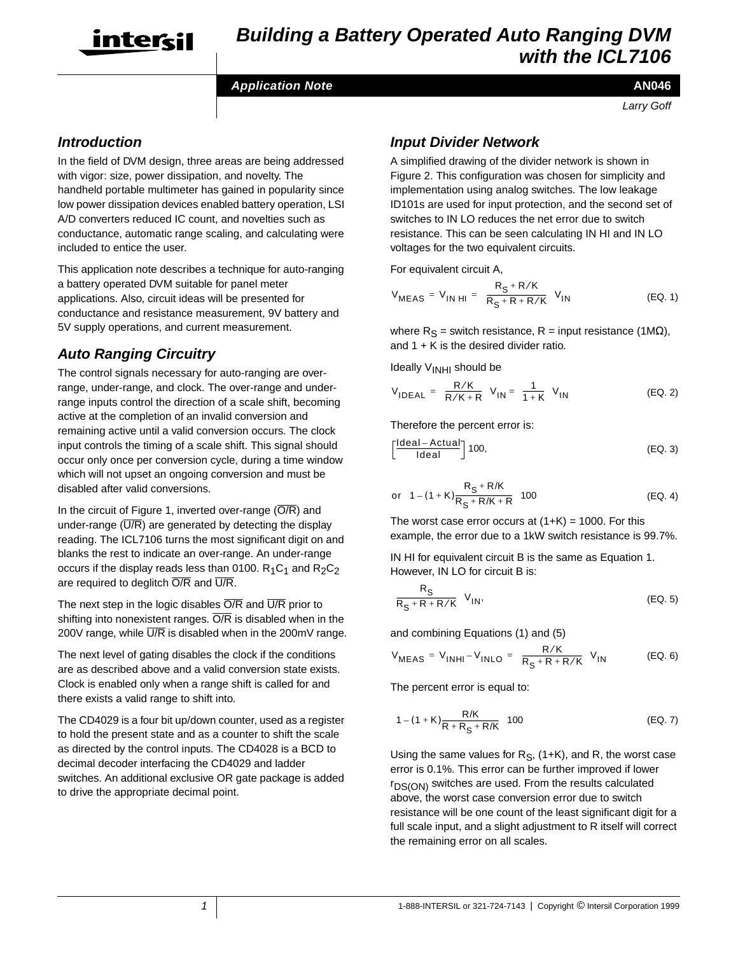

#### **Application Note**

#### **AN046**

Larry Goff

### **Introduction**

In the field of DVM design, three areas are being addressed with vigor: size, power dissipation, and novelty. The handheld portable multimeter has gained in popularity since low power dissipation devices enabled battery operation, LSI A/D converters reduced IC count, and novelties such as conductance, automatic range scaling, and calculating were included to entice the user.

This application note describes a technique for auto-ranging a battery operated DVM suitable for panel meter applications. Also, circuit ideas will be presented for conductance and resistance measurement, 9V battery and 5V supply operations, and current measurement.

## **Auto Ranging Circuitry**

The control signals necessary for auto-ranging are overrange, under-range, and clock. The over-range and underrange inputs control the direction of a scale shift, becoming active at the completion of an invalid conversion and remaining active until a valid conversion occurs. The clock input controls the timing of a scale shift. This signal should occur only once per conversion cycle, during a time window which will not upset an ongoing conversion and must be disabled after valid conversions.

In the circuit of Figure 1, inverted over-range  $(\overline{O/R})$  and under-range  $(\overline{U/R})$  are generated by detecting the display reading. The ICL7106 turns the most significant digit on and blanks the rest to indicate an over-range. An under-range occurs if the display reads less than 0100.  $R_1C_1$  and  $R_2C_2$ are required to deglitch  $\overline{O/R}$  and  $\overline{U/R}$ .

The next step in the logic disables  $\overline{O/R}$  and  $\overline{U/R}$  prior to shifting into nonexistent ranges.  $\overline{O/R}$  is disabled when in the 200V range, while  $\overline{U/R}$  is disabled when in the 200mV range.

The next level of gating disables the clock if the conditions are as described above and a valid conversion state exists. Clock is enabled only when a range shift is called for and there exists a valid range to shift into.

The CD4029 is a four bit up/down counter, used as a register to hold the present state and as a counter to shift the scale as directed by the control inputs. The CD4028 is a BCD to decimal decoder interfacing the CD4029 and ladder switches. An additional exclusive OR gate package is added to drive the appropriate decimal point.

## **Input Divider Network**

A simplified drawing of the divider network is shown in Figure 2. This configuration was chosen for simplicity and implementation using analog switches. The low leakage ID101s are used for input protection, and the second set of switches to IN LO reduces the net error due to switch resistance. This can be seen calculating IN HI and IN LO voltages for the two equivalent circuits.

For equivalent circuit A,

$$
V_{\text{MEAS}} = V_{\text{IN HI}} = \left(\frac{R_{\text{S}} + R/K}{R_{\text{S}} + R + R/K}\right) V_{\text{IN}}
$$
 (EQ. 1)

where  $R_S$  = switch resistance,  $R$  = input resistance (1MΩ), and  $1 + K$  is the desired divider ratio.

Ideally V<sub>INHI</sub> should be

$$
V_{\mathsf{IDEAL}} = \left(\frac{R/K}{R/K+R}\right) V_{\mathsf{IN}} = \left(\frac{1}{1+K}\right) V_{\mathsf{IN}} \tag{Eq. 2}
$$

Therefore the percent error is:

$$
\left[\frac{Ideal - Actual}{Ideal}\right] 100,
$$
 (EQ. 3)

or 
$$
\left(1 - (1 + K)\frac{R_S + R/K}{R_S + R/K + R}\right)
$$
100 (EQ. 4)

The worst case error occurs at  $(1+K) = 1000$ . For this example, the error due to a 1kW switch resistance is 99.7%.

IN HI for equivalent circuit B is the same as Equation 1. However, IN LO for circuit B is:

$$
\left(\frac{R_{\rm S}}{R_{\rm S} + R + R/K}\right) V_{\rm IN},\tag{EQ.5}
$$

and combining Equations (1) and (5)

$$
V_{\text{MEAS}} = V_{\text{INHI}} - V_{\text{INLO}} = \left(\frac{R/K}{R_{\text{S}} + R + R/K}\right) V_{\text{IN}} \tag{EQ. 6}
$$

The percent error is equal to:

$$
\left(1 - (1 + K)\frac{R/K}{R + R_S + R/K}\right)100
$$
 (EQ. 7)

Using the same values for  $R_S$ , (1+K), and R, the worst case error is 0.1%. This error can be further improved if lower  $r_{DS(ON)}$  switches are used. From the results calculated above, the worst case conversion error due to switch resistance will be one count of the least significant digit for a full scale input, and a slight adjustment to R itself will correct the remaining error on all scales.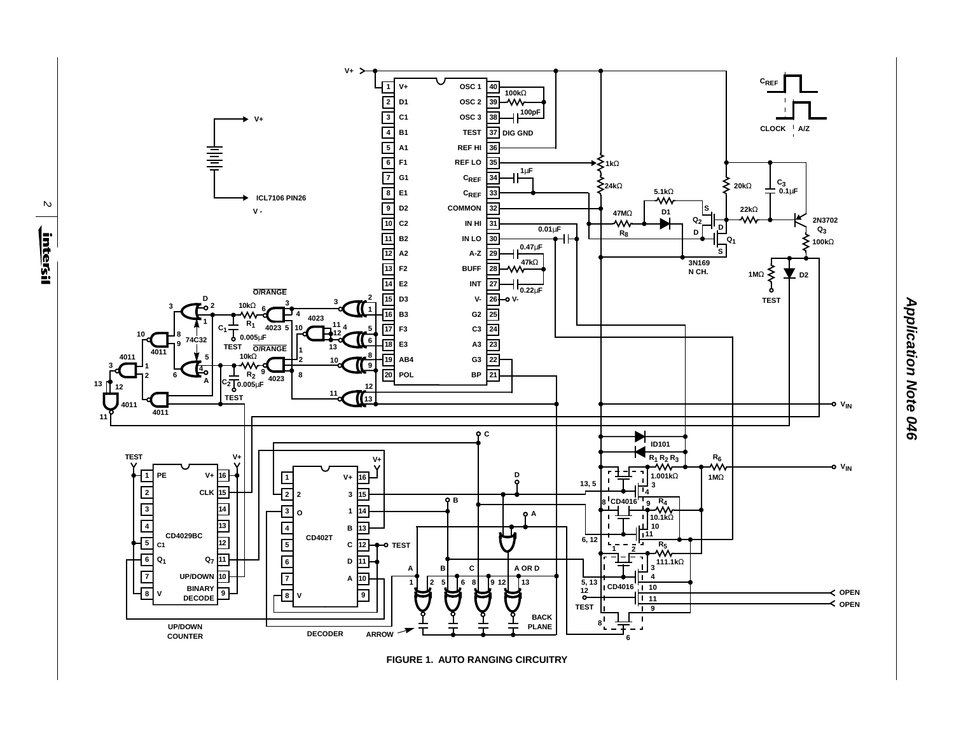

**FIGURE 1. AUTO RANGING CIRCUITRY**

**Application Note 046 Application Note 046**

 $\mathbf{z}$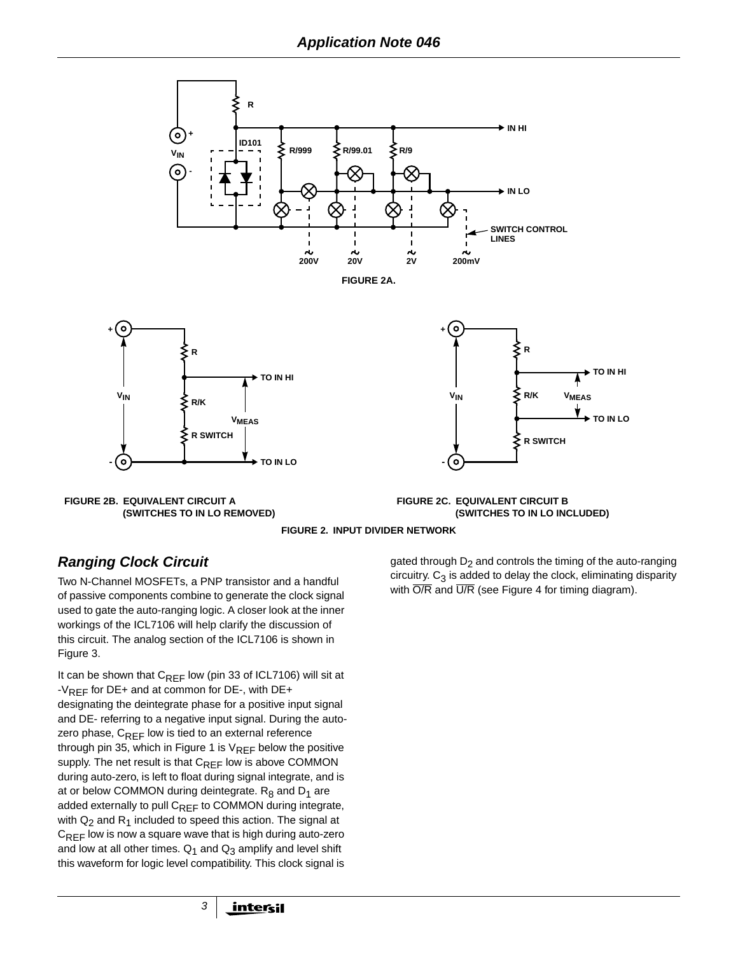



**FIGURE 2C. EQUIVALENT CIRCUIT B (SWITCHES TO IN LO INCLUDED)**



# **Ranging Clock Circuit**

Two N-Channel MOSFETs, a PNP transistor and a handful of passive components combine to generate the clock signal used to gate the auto-ranging logic. A closer look at the inner workings of the ICL7106 will help clarify the discussion of this circuit. The analog section of the ICL7106 is shown in Figure 3.

It can be shown that  $C_{REF}$  low (pin 33 of ICL7106) will sit at -V<sub>REF</sub> for DE+ and at common for DE-, with DE+ designating the deintegrate phase for a positive input signal and DE- referring to a negative input signal. During the autozero phase,  $C_{REF}$  low is tied to an external reference through pin 35, which in Figure 1 is  $V_{REF}$  below the positive supply. The net result is that  $C_{RFF}$  low is above COMMON during auto-zero, is left to float during signal integrate, and is at or below COMMON during deintegrate.  $R_8$  and  $D_1$  are added externally to pull CREF to COMMON during integrate, with  $Q_2$  and  $R_1$  included to speed this action. The signal at  $C_{REF}$  low is now a square wave that is high during auto-zero and low at all other times.  $Q_1$  and  $Q_3$  amplify and level shift this waveform for logic level compatibility. This clock signal is

3

gated through  $D_2$  and controls the timing of the auto-ranging circuitry.  $C_3$  is added to delay the clock, eliminating disparity with  $\overline{O/R}$  and  $\overline{U/R}$  (see Figure 4 for timing diagram).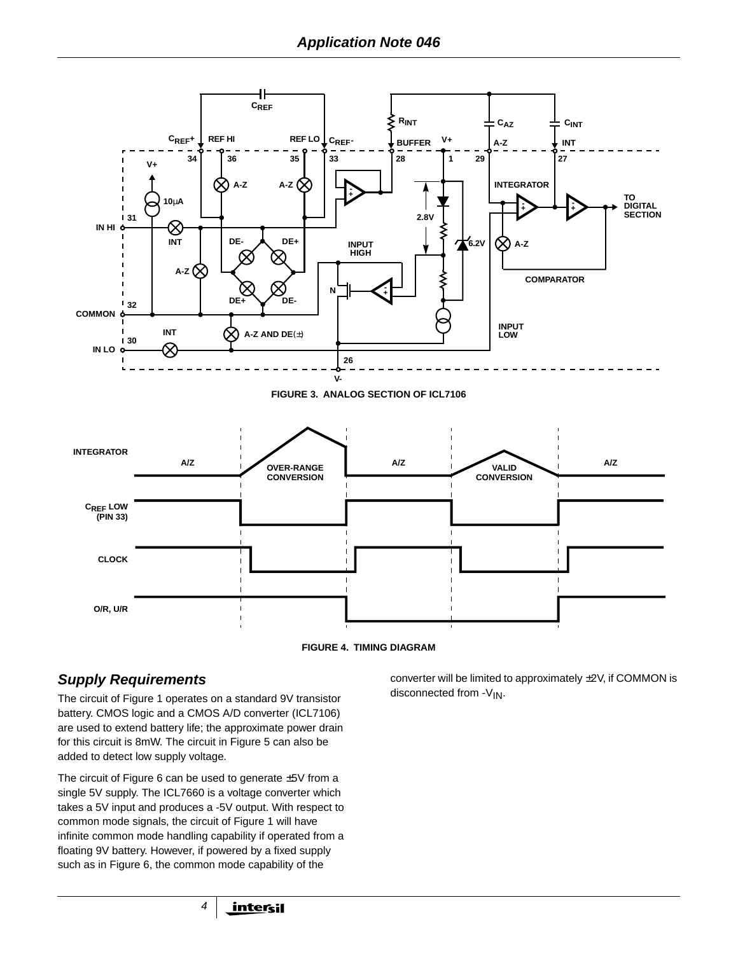



## **Supply Requirements**

The circuit of Figure 1 operates on a standard 9V transistor battery. CMOS logic and a CMOS A/D converter (ICL7106) are used to extend battery life; the approximate power drain for this circuit is 8mW. The circuit in Figure 5 can also be added to detect low supply voltage.

The circuit of Figure 6 can be used to generate  $\pm 5V$  from a single 5V supply. The ICL7660 is a voltage converter which takes a 5V input and produces a -5V output. With respect to common mode signals, the circuit of Figure 1 will have infinite common mode handling capability if operated from a floating 9V battery. However, if powered by a fixed supply such as in Figure 6, the common mode capability of the

converter will be limited to approximately ±2V, if COMMON is disconnected from  $-V_{IN}$ .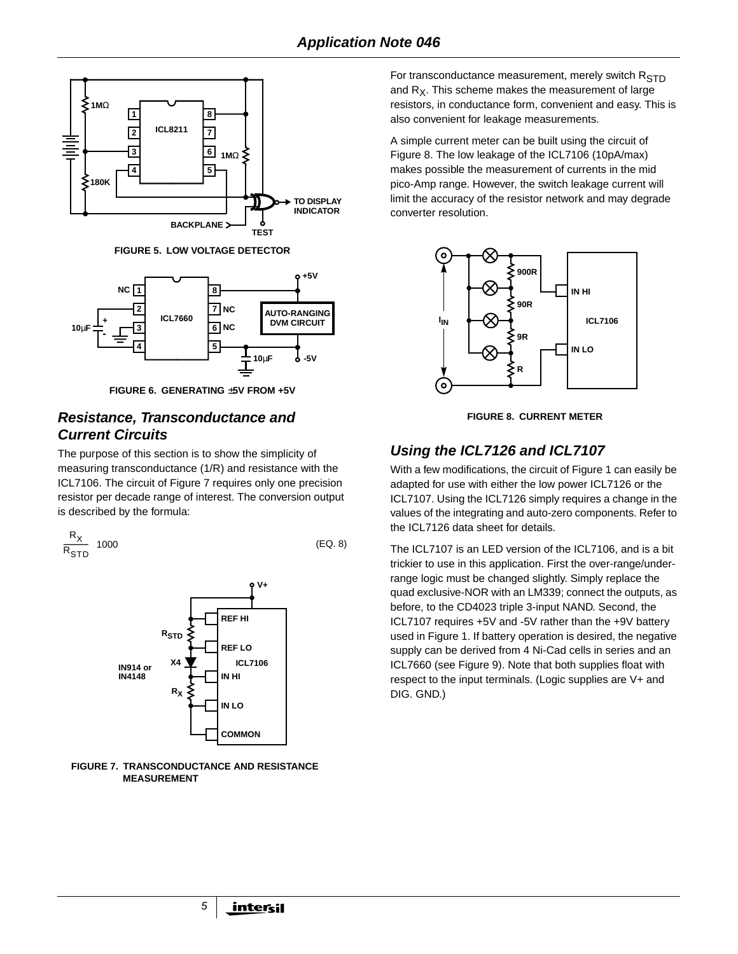

**FIGURE 5. LOW VOLTAGE DETECTOR**



**FIGURE 6. GENERATING** ±**5V FROM +5V**

## **Resistance, Transconductance and Current Circuits**

The purpose of this section is to show the simplicity of measuring transconductance (1/R) and resistance with the ICL7106. The circuit of Figure 7 requires only one precision resistor per decade range of interest. The conversion output is described by the formula:

$$
\left(\frac{R_X}{R_{\text{STD}}}\right)1000\tag{Eq. 8}
$$



#### **FIGURE 7. TRANSCONDUCTANCE AND RESISTANCE MEASUREMENT**

For transconductance measurement, merely switch  $R_{STD}$ and  $R_X$ . This scheme makes the measurement of large resistors, in conductance form, convenient and easy. This is also convenient for leakage measurements.

A simple current meter can be built using the circuit of Figure 8. The low leakage of the ICL7106 (10pA/max) makes possible the measurement of currents in the mid pico-Amp range. However, the switch leakage current will limit the accuracy of the resistor network and may degrade converter resolution.



**FIGURE 8. CURRENT METER**

# **Using the ICL7126 and ICL7107**

With a few modifications, the circuit of Figure 1 can easily be adapted for use with either the low power ICL7126 or the ICL7107. Using the ICL7126 simply requires a change in the values of the integrating and auto-zero components. Refer to the ICL7126 data sheet for details.

The ICL7107 is an LED version of the ICL7106, and is a bit trickier to use in this application. First the over-range/underrange logic must be changed slightly. Simply replace the quad exclusive-NOR with an LM339; connect the outputs, as before, to the CD4023 triple 3-input NAND. Second, the ICL7107 requires +5V and -5V rather than the +9V battery used in Figure 1. If battery operation is desired, the negative supply can be derived from 4 Ni-Cad cells in series and an ICL7660 (see Figure 9). Note that both supplies float with respect to the input terminals. (Logic supplies are V+ and DIG. GND.)